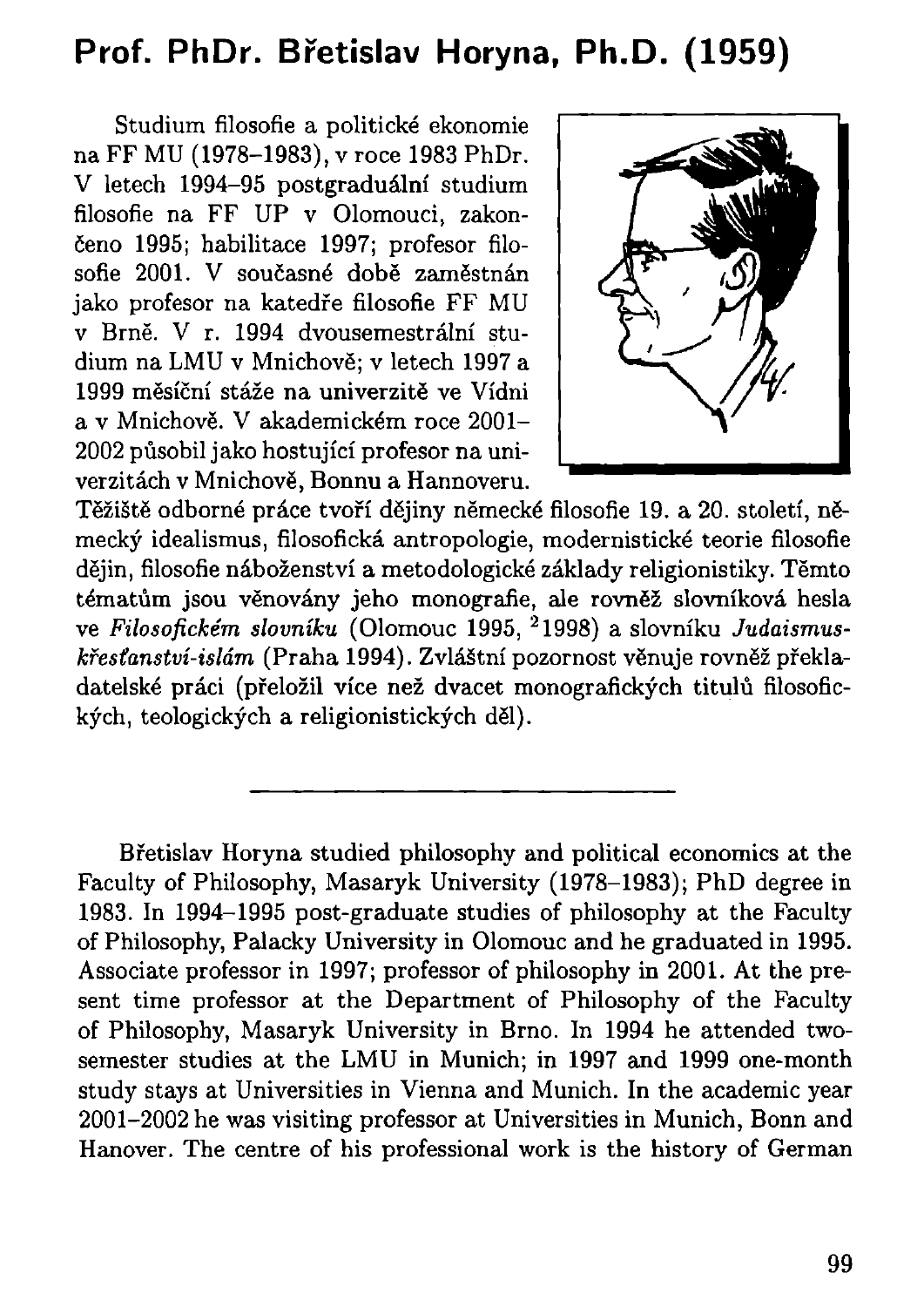## **Prof. PhDr. Břetislav Horyna, Ph.D . (1959)**

Studium filosofie a politické ekonomie na FF MU (1978-1983), v roce 1983 PhDr. V letech 1994-95 postgraduální studium filosofie na FF UP v Olomouci, zakončeno 1995; habilitace 1997; profesor filosofie 2001. V současné době zaměstnán jako profesor na katedře filosofie FF MU v Brně. V r. 1994 dvousemestrální studium na LMU v Mnichově; v letech 1997 a 1999 měsíční stáže na univerzitě ve Vídni a v Mnichově. V akademickém roce 2001- 2002 působil jako hostující profesor na univerzitách v Mnichově, Bonnu a Hannoveru.



Těžiště odborné práce tvoří dějiny německé filosofie 19. a 20. století, německý idealismus, filosofická antropologie, modernistické teorie filosofie dějin, filosofie náboženství a metodologické základy religionistiky. Těmto tématům jsou věnovány jeho monografie, ale rovněž slovníková hesla ve *Filosofickém slovníku* (Olomouc 1995, 2 1998) a slovníku *Judaismuskřesťanství-islám* (Praha 1994). Zvláštní pozornost věnuje rovněž překladatelské práci (přeložil více než dvacet monografických titulů filosofických, teologických a religionistických děl).

Břetislav Horyna studied philosophy and political economics at the Faculty of Philosophy, Masaryk University (1978-1983); PhD degree in 1983. In 1994-1995 post-graduate studies of philosophy at the Faculty of Philosophy, Palacký University in Olomouc and he graduated in 1995. Associate professor in 1997; professor of philosophy in 2001. At the present time professor at the Department of Philosophy of the Faculty of Philosophy, Masaryk University in Brno. In 1994 he attended twosemester studies at the LMU in Munich; in 1997 and 1999 one-month study stays at Universities in Vienna and Munich. In the academic year 2001-2002 he was visiting professor at Universities in Munich, Bonn and Hanover. The centre of his professional work is the history of German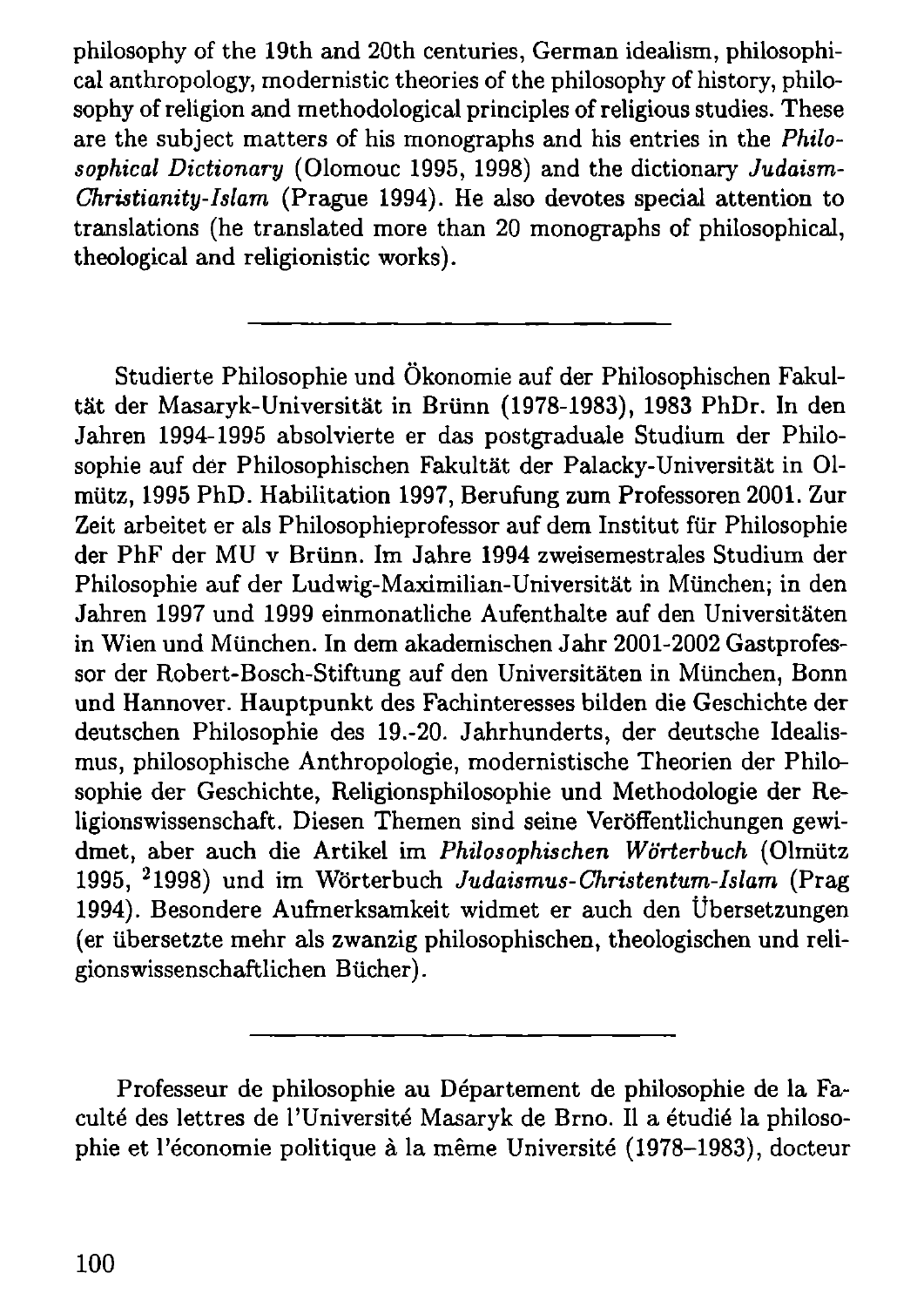philosophy of the 19th and 20th centuries, German idealism, philosophical anthropology, modernistic theories of the philosophy of history, philosophy of religion and methodological principles of religious studies. These are the subject matters of his monographs and his entries in the *Philosophical Dictionary* (Olomouc 1995, 1998) and the dictionary *Judaism-Christianity-Islam* (Prague 1994). He also devotes special attention to translations (he translated more than 20 monographs of philosophical, theological and religionistic works).

Studierte Philosophie und Ökonomie auf der Philosophischen Fakultät der Masaryk-Universität in Brünn (1978-1983), 1983 PhDr. In den Jahren 1994-1995 absolvierte er das postgraduale Studium der Philosophie auf der Philosophischen Fakultät der Palacky-Universität in 01 mütz, 1995 PhD. Habilitation 1997, Berufung zum Professoren 2001. Zur Zeit arbeitet er als Philosophieprofessor auf dem Institut für Philosophie der PhF der MU v Brünn. Im Jahre 1994 zweisemestrales Studium der Philosophie auf der Ludwig-Maximilian-Universität in München; in den Jahren 1997 und 1999 einmonatliche Aufenthalte auf den Universitäten in Wien und München. In dem akademischen Jahr 2001-2002 Gastprofessor der Robert-Bosch-Stiftung auf den Universitäten in München, Bonn und Hannover. Hauptpunkt des Fachinteresses bilden die Geschichte der deutschen Philosophie des 19.-20. Jahrhunderts, der deutsche Idealismus, philosophische Anthropologie, modernistische Theorien der Philosophie der Geschichte, Religionsphilosophie und Methodologie der Religionswissenschaft. Diesen Themen sind seine Veröffentlichungen gewidmet, aber auch die Artikel im *Philosophischen Wörterbuch* (Olmütz 1995, 2 1998) und im Wörterbuch *Judaismus-Christentum-Islam* (Prag 1994). Besondere Aufmerksamkeit widmet er auch den Übersetzungen (er übersetzte mehr als zwanzig philosophischen, theologischen und religionswissenschaftlichen Bücher).

Professeur de philosophie au Département de philosophie de la Faculté des lettres de l'Université Masaryk de Brno. Il a étudié la philosophie et l'économie politique à la même Université (1978-1983), docteur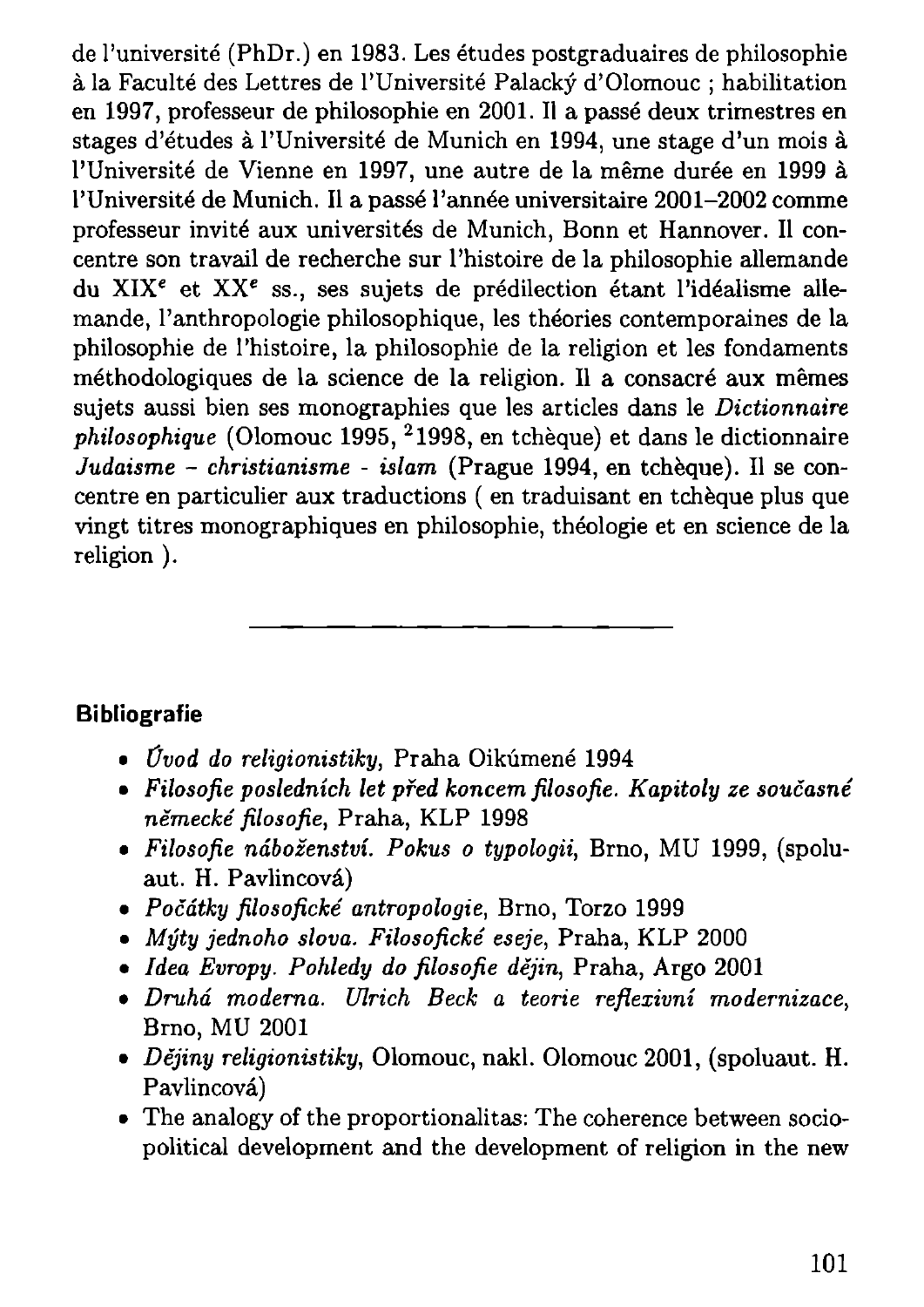de l'université (PhDr.) en 1983. Les études postgraduaires de philosophie à la Faculté des Lettres de l'Université Palacký d'Olomouc ; habilitation en 1997, professeur de philosophie en 2001. Il a passé deux trimestres en stages d'études à l'Université de Munich en 1994, une stage d'un mois à l'Université de Vienne en 1997, une autre de la même durée en 1999 à l'Université de Munich. Il a passé l'année universitaire 2001-2002 comme professeur invité aux universités de Munich, Bonn et Hannover. Il concentre son travail de recherche sur l'histoire de la philosophie allemande du XIX<sup>e</sup> et XX<sup>e</sup> ss., ses sujets de prédilection étant l'idéalisme allemande, l'anthropologie philosophique, les théories contemporaines de la philosophie de l'histoire, la philosophie de la religion et les fondaments méthodologiques de la science de la religion. Il a consacré aux mêmes sujets aussi bien ses monographies que les articles dans le *Dictionnaire philosophique* (Olomouc 1995, 2 1998, en tchèque) et dans le dictionnaire *Judaisme - christianisme - islam* (Prague 1994, en tchèque). Il se concentre en particulier aux traductions ( en traduisant en tchèque plus que vingt titres monographiques en philosophie, théologie et en science de la religion ).

## **Bibliografie**

- *• Úvod do religionistiky,* Praha Oikúmené 1994
- *• Filosofie posledních let před koncem filosofie. Kapitoly ze současné německé filosofie,* Praha, KL P 1998
- **•** *Filosofie náboženství. Pokus o typologii*, Brno, MU 1999, (spoluaut. H. Pavlincová)
- *• Počátky filosofické antropologie,* Brno, Torzo 1999
- *Mýty jednoho slova. Filosofické eseje*, Praha, KLP 2000
- *• Idea Evropy. Pohledy do filosofie dějin,* Praha, Argo 2001
- *• Druhá moderna. Ulrich Beck a teorie reflexivní modernizace,*  Brno, MU 2001
- *• Dějiny religionistiky,* Olomouc, nakl. Olomouc 2001, (spoluaut. H. Pavlincová)
- The analogy of the proportionalitas: The coherence between sociopolitical development and the development of religion in the new